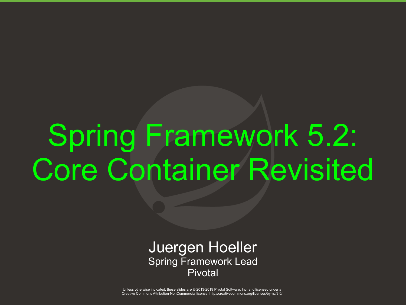# Spring Framework 5.2: Core Container Revisited

#### Juergen Hoeller Spring Framework Lead Pivotal

.<br>Unless otherwise indicated, these slides are © 2013-2019 Pivotal Software, Inc. and licensed under a تعجم المستخدم المستخدم المستخدم المستخدم المستخدم المستخدم المستخدم المستخدم المستخد Creative Commons Attribution-NonCommercial license: http://creativecommons.org/licenses/by-nc/3.0/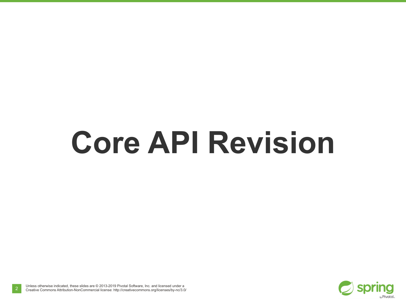# **Core API Revision**

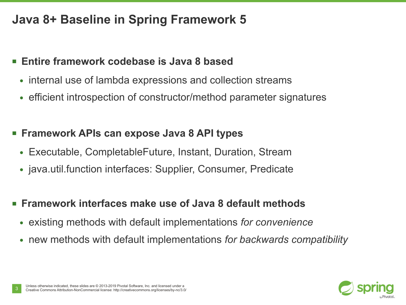# **Java 8+ Baseline in Spring Framework 5**

#### ■ **Entire framework codebase is Java 8 based**

- internal use of lambda expressions and collection streams
- efficient introspection of constructor/method parameter signatures

#### ■ **Framework APIs can expose Java 8 API types**

- Executable, CompletableFuture, Instant, Duration, Stream
- java.util.function interfaces: Supplier, Consumer, Predicate
- **Framework interfaces make use of Java 8 default methods** 
	- existing methods with default implementations *for convenience*
	- new methods with default implementations *for backwards compatibility*

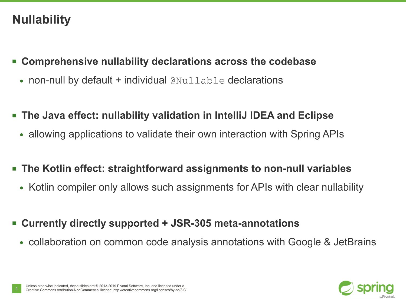# **Nullability**

- **Comprehensive nullability declarations across the codebase**
	- $\bullet$  non-null by default + individual  $\text{QNullable}$  declarations
- The Java effect: nullability validation in IntelliJ IDEA and Eclipse
	- allowing applications to validate their own interaction with Spring APIs
- The Kotlin effect: straightforward assignments to non-null variables
	- Kotlin compiler only allows such assignments for APIs with clear nullability
- **Currently directly supported + JSR-305 meta-annotations**
	- collaboration on common code analysis annotations with Google & JetBrains

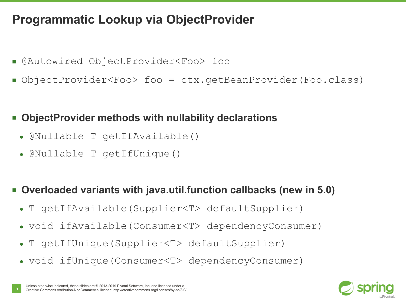# **Programmatic Lookup via ObjectProvider**

- @Autowired ObjectProvider<Foo> foo
- ObjectProvider<Foo> foo = ctx.getBeanProvider(Foo.class)

#### **ObjectProvider methods with nullability declarations**

- @Nullable T getIfAvailable()
- @Nullable T getIfUnique()

#### ■ **Overloaded variants with java.util.function callbacks (new in 5.0)**

- T getIfAvailable(Supplier<T> defaultSupplier)
- void ifAvailable(Consumer<T> dependencyConsumer)
- T getIfUnique(Supplier<T> defaultSupplier)
- void ifUnique(Consumer<T> dependencyConsumer)

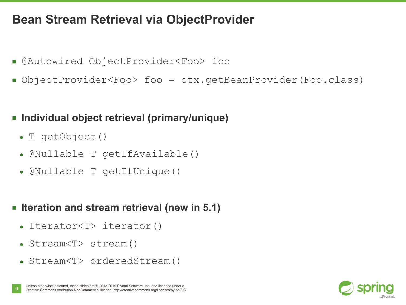## **Bean Stream Retrieval via ObjectProvider**

- @Autowired ObjectProvider<Foo> foo
- ObjectProvider<Foo> foo = ctx.getBeanProvider(Foo.class)

#### ■ **Individual object retrieval (primary/unique)**

- T getObject()
- @Nullable T qetIfAvailable()
- @Nullable T getIfUnique()

#### ■ **Iteration and stream retrieval (new in 5.1)**

- $\bullet$  Iterator $\langle T \rangle$  iterator()
- Stream<T> stream()
- Stream<T> orderedStream()

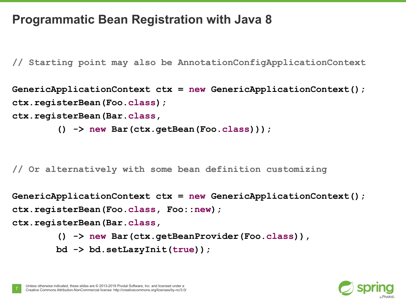## **Programmatic Bean Registration with Java 8**

**// Starting point may also be AnnotationConfigApplicationContext**

```
GenericApplicationContext ctx = new GenericApplicationContext();
ctx.registerBean(Foo.class);
ctx.registerBean(Bar.class,
```

```
 () -> new Bar(ctx.getBean(Foo.class)));
```
**// Or alternatively with some bean definition customizing**

**GenericApplicationContext ctx = new GenericApplicationContext(); ctx.registerBean(Foo.class, Foo::new); ctx.registerBean(Bar.class,**

```
 () -> new Bar(ctx.getBeanProvider(Foo.class)),
```

```
 bd -> bd.setLazyInit(true));
```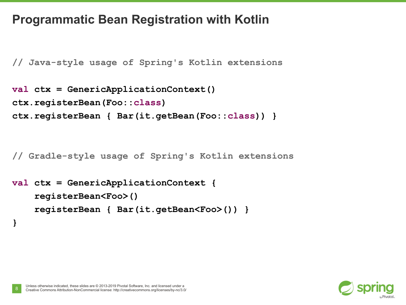## **Programmatic Bean Registration with Kotlin**

**// Java-style usage of Spring's Kotlin extensions**

```
val ctx = GenericApplicationContext()
ctx.registerBean(Foo::class)
ctx.registerBean { Bar(it.getBean(Foo::class)) }
```
**// Gradle-style usage of Spring's Kotlin extensions**

```
val ctx = GenericApplicationContext {
     registerBean<Foo>()
     registerBean { Bar(it.getBean<Foo>()) }
```


**}**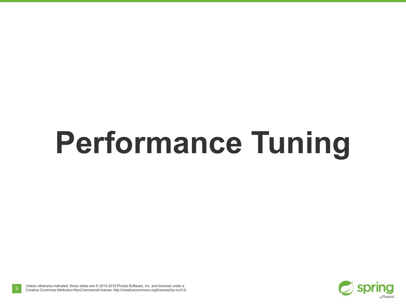# **Performance Tuning**

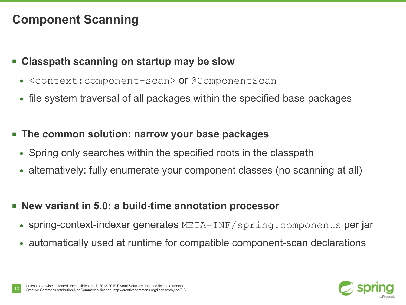# **Component Scanning**

#### ■ **Classpath scanning on startup may be slow**

- <context: component-scan> or @ComponentScan
- file system traversal of all packages within the specified base packages

#### **The common solution: narrow your base packages**

- Spring only searches within the specified roots in the classpath
- alternatively: fully enumerate your component classes (no scanning at all)

#### ■ **New variant in 5.0: a build-time annotation processor**

- spring-context-indexer generates META-INF/spring.components per jar
- automatically used at runtime for compatible component-scan declarations

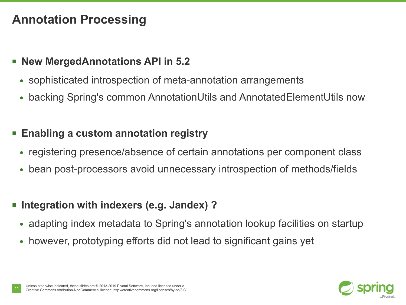# **Annotation Processing**

#### ■ **New MergedAnnotations API in 5.2**

- sophisticated introspection of meta-annotation arrangements
- backing Spring's common AnnotationUtils and AnnotatedElementUtils now

#### **Enabling a custom annotation registry**

- registering presence/absence of certain annotations per component class
- bean post-processors avoid unnecessary introspection of methods/fields

#### **Integration with indexers (e.g. Jandex) ?**

- adapting index metadata to Spring's annotation lookup facilities on startup
- however, prototyping efforts did not lead to significant gains yet

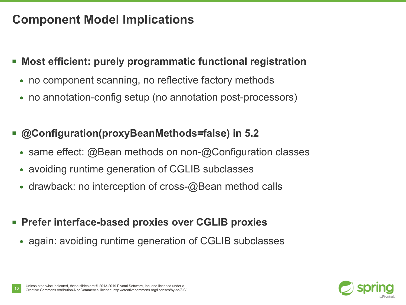# **Component Model Implications**

#### ■ **Most efficient: purely programmatic functional registration**

- no component scanning, no reflective factory methods
- no annotation-config setup (no annotation post-processors)

#### **@Configuration(proxyBeanMethods=false) in 5.2**

- same effect: @Bean methods on non-@Configuration classes
- avoiding runtime generation of CGLIB subclasses
- $\bullet$  drawback: no interception of cross-@Bean method calls
- **Prefer interface-based proxies over CGLIB proxies**
	- again: avoiding runtime generation of CGLIB subclasses

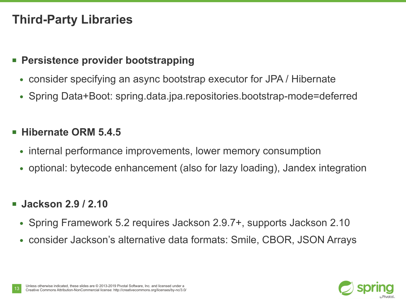# **Third-Party Libraries**

#### ■ **Persistence provider bootstrapping**

- consider specifying an async bootstrap executor for JPA / Hibernate
- Spring Data+Boot: spring.data.jpa.repositories.bootstrap-mode=deferred

#### ■ **Hibernate ORM 5.4.5**

- internal performance improvements, lower memory consumption
- optional: bytecode enhancement (also for lazy loading), Jandex integration

#### ■ **Jackson 2.9 / 2.10**

- Spring Framework 5.2 requires Jackson 2.9.7+, supports Jackson 2.10
- consider Jackson's alternative data formats: Smile, CBOR, JSON Arrays

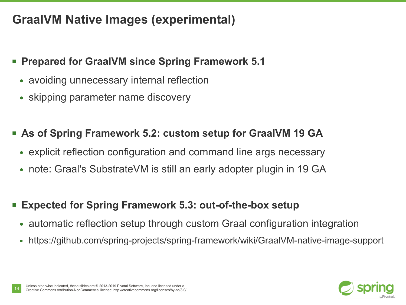# **GraalVM Native Images (experimental)**

#### **<b>• Prepared for GraalVM since Spring Framework 5.1**

- avoiding unnecessary internal reflection
- skipping parameter name discovery

#### ■ As of Spring Framework 5.2: custom setup for GraalVM 19 GA

- explicit reflection configuration and command line args necessary
- note: Graal's SubstrateVM is still an early adopter plugin in 19 GA

#### **Expected for Spring Framework 5.3: out-of-the-box setup**

- automatic reflection setup through custom Graal configuration integration
- https://github.com/spring-projects/spring-framework/wiki/GraalVM-native-image-support

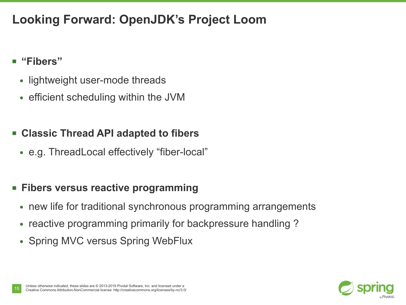# **Looking Forward: OpenJDK's Project Loom**

#### ■ **"Fibers"**

- lightweight user-mode threads
- efficient scheduling within the JVM

#### ■ **Classic Thread API adapted to fibers**

• e.g. ThreadLocal effectively "fiber-local"

#### ■ **Fibers versus reactive programming**

- new life for traditional synchronous programming arrangements
- reactive programming primarily for backpressure handling?
- Spring MVC versus Spring WebFlux

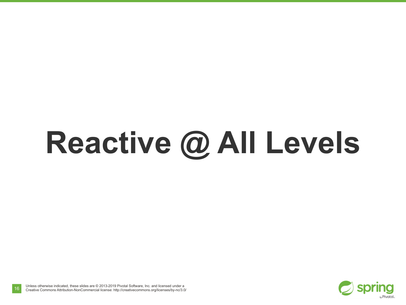# **Reactive @ All Levels**

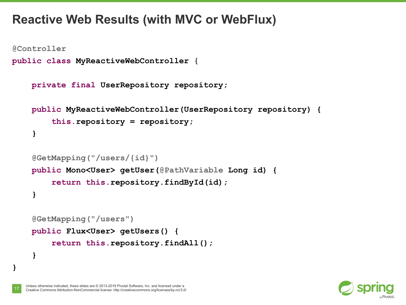## **Reactive Web Results (with MVC or WebFlux)**

```
@Controller
```
**}**

```
public class MyReactiveWebController {
```

```
 private final UserRepository repository;
 public MyReactiveWebController(UserRepository repository) {
     this.repository = repository;
 }
 @GetMapping("/users/{id}")
```

```
 public Mono<User> getUser(@PathVariable Long id) {
     return this.repository.findById(id);
 }
```

```
 @GetMapping("/users")
 public Flux<User> getUsers() {
     return this.repository.findAll();
 }
```
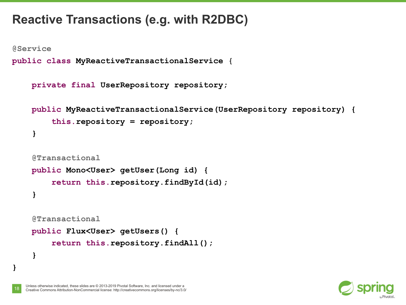# **Reactive Transactions (e.g. with R2DBC)**

**@Service**

**}**

```
public class MyReactiveTransactionalService {
```

```
 private final UserRepository repository;
```

```
 public MyReactiveTransactionalService(UserRepository repository) {
     this.repository = repository;
 }
```

```
 @Transactional
 public Mono<User> getUser(Long id) {
     return this.repository.findById(id);
 }
 @Transactional
 public Flux<User> getUsers() {
     return this.repository.findAll();
 }
```
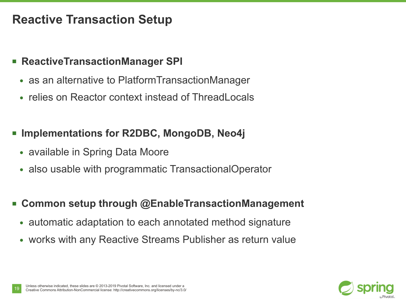## **Reactive Transaction Setup**

#### ■ **ReactiveTransactionManager SPI**

- as an alternative to PlatformTransactionManager
- relies on Reactor context instead of ThreadLocals

#### **Implementations for R2DBC, MongoDB, Neo4j**

- available in Spring Data Moore
- also usable with programmatic TransactionalOperator
- **Common setup through @EnableTransactionManagement** 
	- automatic adaptation to each annotated method signature
	- works with any Reactive Streams Publisher as return value

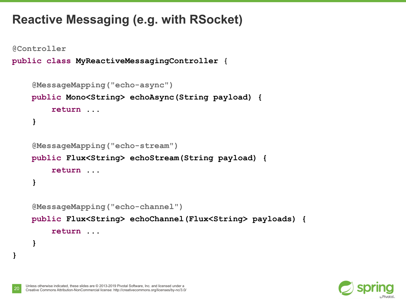# **Reactive Messaging (e.g. with RSocket)**

```
@Controller
public class MyReactiveMessagingController {
     @MessageMapping("echo-async")
     public Mono<String> echoAsync(String payload) {
         return ...
     }
     @MessageMapping("echo-stream")
     public Flux<String> echoStream(String payload) {
         return ...
     }
     @MessageMapping("echo-channel")
     public Flux<String> echoChannel(Flux<String> payloads) {
         return ...
     }
}
```
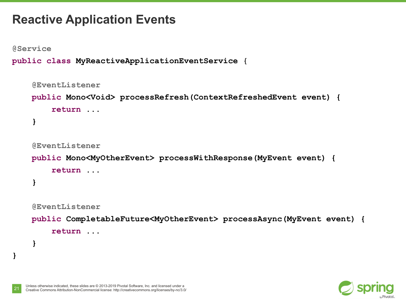## **Reactive Application Events**

**@Service**

**}**

```
public class MyReactiveApplicationEventService {
```

```
 @EventListener
 public Mono<Void> processRefresh(ContextRefreshedEvent event) {
     return ...
 }
 @EventListener
 public Mono<MyOtherEvent> processWithResponse(MyEvent event) {
     return ...
 }
 @EventListener
 public CompletableFuture<MyOtherEvent> processAsync(MyEvent event) {
     return ...
 }
```
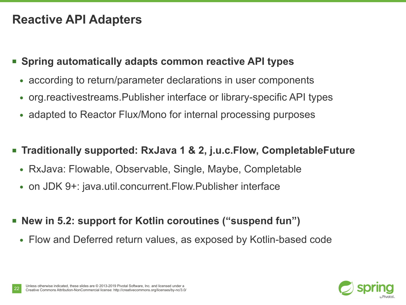# **Reactive API Adapters**

#### ■ **Spring automatically adapts common reactive API types**

- according to return/parameter declarations in user components
- org. reactivest reams. Publisher interface or library-specific API types
- adapted to Reactor Flux/Mono for internal processing purposes
- **Traditionally supported: RxJava 1 & 2, j.u.c.Flow, CompletableFuture**
	- RxJava: Flowable, Observable, Single, Maybe, Completable
	- on JDK 9+: java.util.concurrent.Flow.Publisher interface
- **New in 5.2: support for Kotlin coroutines ("suspend fun")**
	- Flow and Deferred return values, as exposed by Kotlin-based code

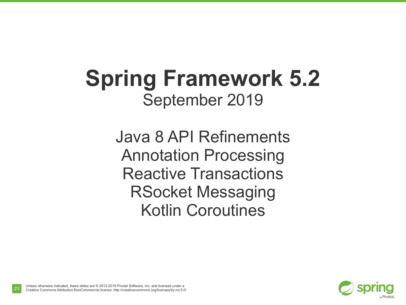# **Spring Framework 5.2** September 2019

Java 8 API Refinements Annotation Processing Reactive Transactions RSocket Messaging Kotlin Coroutines